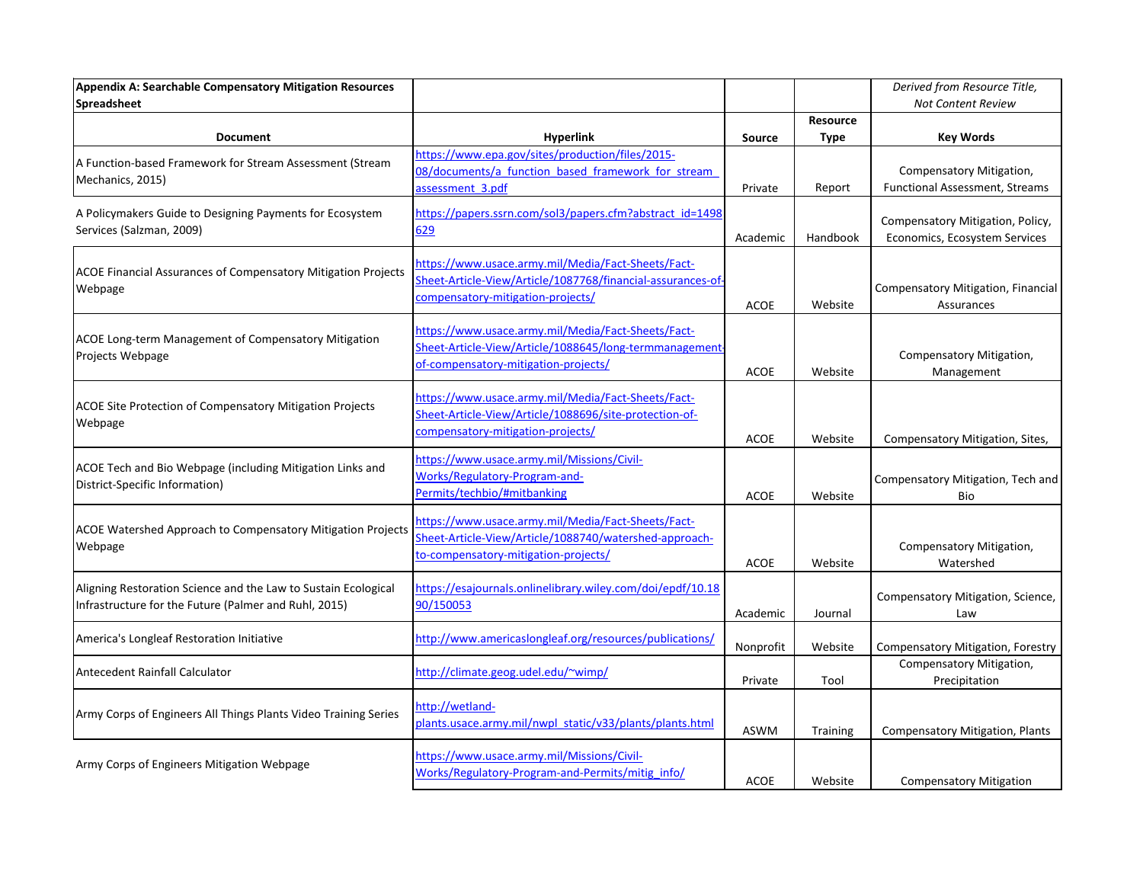| Appendix A: Searchable Compensatory Mitigation Resources             |                                                             |               |             | Derived from Resource Title,           |
|----------------------------------------------------------------------|-------------------------------------------------------------|---------------|-------------|----------------------------------------|
| Spreadsheet                                                          |                                                             |               |             | <b>Not Content Review</b>              |
|                                                                      |                                                             |               | Resource    |                                        |
| <b>Document</b>                                                      | <b>Hyperlink</b>                                            | <b>Source</b> | <b>Type</b> | <b>Key Words</b>                       |
| A Function-based Framework for Stream Assessment (Stream             | https://www.epa.gov/sites/production/files/2015-            |               |             |                                        |
| Mechanics, 2015)                                                     | 08/documents/a function based framework for stream          |               |             | Compensatory Mitigation,               |
|                                                                      | assessment 3.pdf                                            | Private       | Report      | Functional Assessment, Streams         |
| A Policymakers Guide to Designing Payments for Ecosystem             | https://papers.ssrn.com/sol3/papers.cfm?abstract_id=1498    |               |             |                                        |
| Services (Salzman, 2009)                                             | 629                                                         |               |             | Compensatory Mitigation, Policy,       |
|                                                                      |                                                             | Academic      | Handbook    | Economics, Ecosystem Services          |
|                                                                      | https://www.usace.army.mil/Media/Fact-Sheets/Fact-          |               |             |                                        |
| <b>ACOE Financial Assurances of Compensatory Mitigation Projects</b> | Sheet-Article-View/Article/1087768/financial-assurances-of- |               |             |                                        |
| Webpage                                                              | compensatory-mitigation-projects/                           |               |             | Compensatory Mitigation, Financial     |
|                                                                      |                                                             | <b>ACOE</b>   | Website     | Assurances                             |
|                                                                      | https://www.usace.army.mil/Media/Fact-Sheets/Fact-          |               |             |                                        |
| ACOE Long-term Management of Compensatory Mitigation                 | Sheet-Article-View/Article/1088645/long-termmanagement      |               |             |                                        |
| Projects Webpage                                                     | of-compensatory-mitigation-projects/                        |               |             | Compensatory Mitigation,               |
|                                                                      |                                                             | <b>ACOE</b>   | Website     | Management                             |
|                                                                      | https://www.usace.army.mil/Media/Fact-Sheets/Fact-          |               |             |                                        |
| <b>ACOE Site Protection of Compensatory Mitigation Projects</b>      | Sheet-Article-View/Article/1088696/site-protection-of-      |               |             |                                        |
| Webpage                                                              | compensatory-mitigation-projects/                           |               |             |                                        |
|                                                                      |                                                             | <b>ACOE</b>   | Website     | Compensatory Mitigation, Sites,        |
|                                                                      | https://www.usace.army.mil/Missions/Civil-                  |               |             |                                        |
| ACOE Tech and Bio Webpage (including Mitigation Links and            | Works/Regulatory-Program-and-                               |               |             | Compensatory Mitigation, Tech and      |
| District-Specific Information)                                       | Permits/techbio/#mitbanking                                 | <b>ACOE</b>   | Website     | Bio                                    |
|                                                                      |                                                             |               |             |                                        |
| <b>ACOE Watershed Approach to Compensatory Mitigation Projects</b>   | https://www.usace.army.mil/Media/Fact-Sheets/Fact-          |               |             |                                        |
| Webpage                                                              | Sheet-Article-View/Article/1088740/watershed-approach-      |               |             | Compensatory Mitigation,               |
|                                                                      | to-compensatory-mitigation-projects/                        | <b>ACOE</b>   | Website     | Watershed                              |
|                                                                      |                                                             |               |             |                                        |
| Aligning Restoration Science and the Law to Sustain Ecological       | https://esajournals.onlinelibrary.wiley.com/doi/epdf/10.18  |               |             | Compensatory Mitigation, Science,      |
| Infrastructure for the Future (Palmer and Ruhl, 2015)                | 90/150053                                                   | Academic      | Journal     | Law                                    |
|                                                                      |                                                             |               |             |                                        |
| America's Longleaf Restoration Initiative                            | http://www.americaslongleaf.org/resources/publications/     | Nonprofit     | Website     | Compensatory Mitigation, Forestry      |
|                                                                      |                                                             |               |             | Compensatory Mitigation,               |
| Antecedent Rainfall Calculator                                       | http://climate.geog.udel.edu/~wimp/                         | Private       | Tool        | Precipitation                          |
| Army Corps of Engineers All Things Plants Video Training Series      |                                                             |               |             |                                        |
|                                                                      | http://wetland-                                             |               |             |                                        |
|                                                                      | plants.usace.army.mil/nwpl_static/v33/plants/plants.html    | <b>ASWM</b>   | Training    | <b>Compensatory Mitigation, Plants</b> |
|                                                                      |                                                             |               |             |                                        |
| Army Corps of Engineers Mitigation Webpage                           | https://www.usace.army.mil/Missions/Civil-                  |               |             |                                        |
|                                                                      | Works/Regulatory-Program-and-Permits/mitig_info/            | <b>ACOE</b>   | Website     | <b>Compensatory Mitigation</b>         |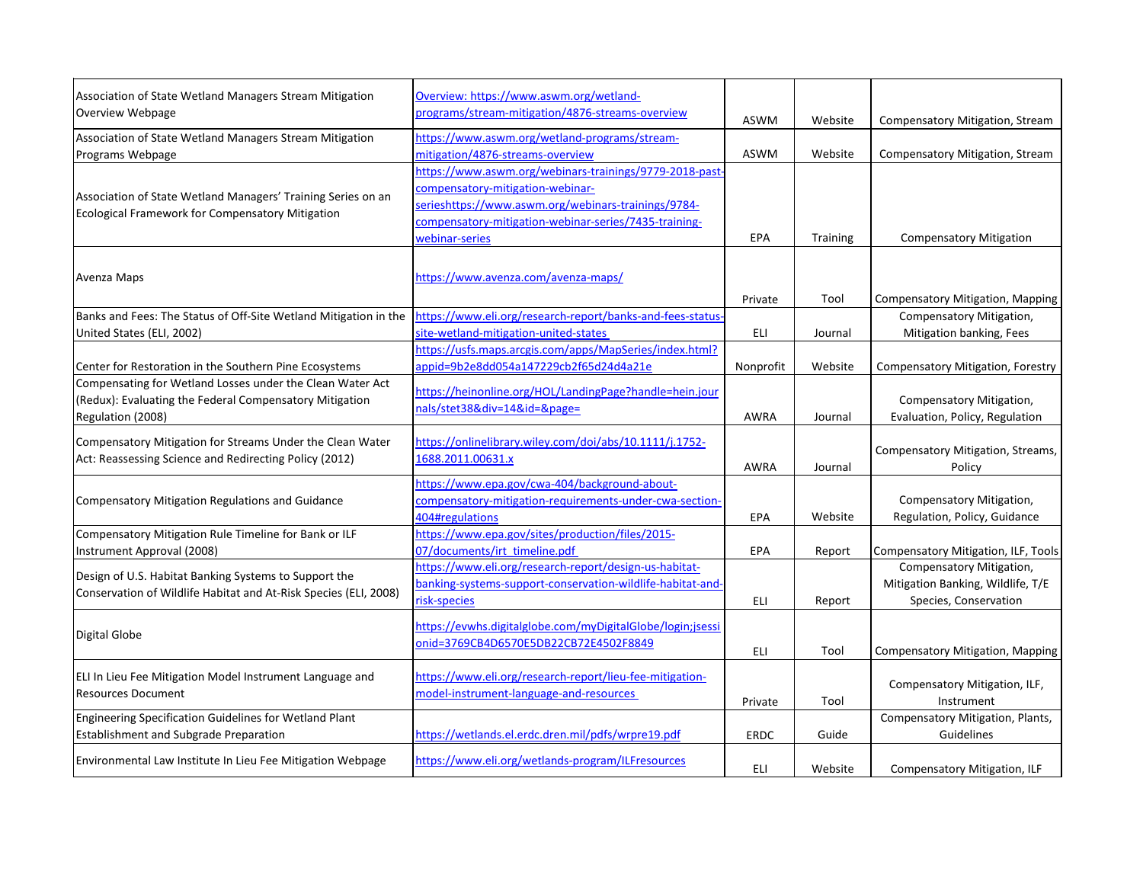| Association of State Wetland Managers Stream Mitigation<br><b>Overview Webpage</b>                                  | Overview: https://www.aswm.org/wetland-<br>programs/stream-mitigation/4876-streams-overview | <b>ASWM</b> | Website  | <b>Compensatory Mitigation, Stream</b>      |
|---------------------------------------------------------------------------------------------------------------------|---------------------------------------------------------------------------------------------|-------------|----------|---------------------------------------------|
| Association of State Wetland Managers Stream Mitigation                                                             | https://www.aswm.org/wetland-programs/stream-                                               |             |          |                                             |
| Programs Webpage                                                                                                    | mitigation/4876-streams-overview                                                            | ASWM        | Website  | <b>Compensatory Mitigation, Stream</b>      |
|                                                                                                                     | https://www.aswm.org/webinars-trainings/9779-2018-past                                      |             |          |                                             |
| Association of State Wetland Managers' Training Series on an                                                        | compensatory-mitigation-webinar-                                                            |             |          |                                             |
| <b>Ecological Framework for Compensatory Mitigation</b>                                                             | serieshttps://www.aswm.org/webinars-trainings/9784-                                         |             |          |                                             |
|                                                                                                                     | compensatory-mitigation-webinar-series/7435-training-                                       |             |          |                                             |
|                                                                                                                     | webinar-series                                                                              | <b>EPA</b>  | Training | <b>Compensatory Mitigation</b>              |
| Avenza Maps                                                                                                         | https://www.avenza.com/avenza-maps/                                                         | Private     | Tool     | <b>Compensatory Mitigation, Mapping</b>     |
| Banks and Fees: The Status of Off-Site Wetland Mitigation in the                                                    | https://www.eli.org/research-report/banks-and-fees-status-                                  |             |          | Compensatory Mitigation,                    |
| United States (ELI, 2002)                                                                                           | site-wetland-mitigation-united-states                                                       | ELI         | Journal  | Mitigation banking, Fees                    |
|                                                                                                                     | https://usfs.maps.arcgis.com/apps/MapSeries/index.html?                                     |             |          |                                             |
| Center for Restoration in the Southern Pine Ecosystems                                                              | appid=9b2e8dd054a147229cb2f65d24d4a21e                                                      | Nonprofit   | Website  | Compensatory Mitigation, Forestry           |
| Compensating for Wetland Losses under the Clean Water Act                                                           |                                                                                             |             |          |                                             |
| (Redux): Evaluating the Federal Compensatory Mitigation                                                             | https://heinonline.org/HOL/LandingPage?handle=hein.jour                                     |             |          | Compensatory Mitigation,                    |
| Regulation (2008)                                                                                                   | nals/stet38÷=14&id=&page=                                                                   | <b>AWRA</b> | Journal  | Evaluation, Policy, Regulation              |
| Compensatory Mitigation for Streams Under the Clean Water<br>Act: Reassessing Science and Redirecting Policy (2012) | https://onlinelibrary.wiley.com/doi/abs/10.1111/j.1752-<br>1688.2011.00631.x                | <b>AWRA</b> | Journal  | Compensatory Mitigation, Streams,<br>Policy |
|                                                                                                                     | https://www.epa.gov/cwa-404/background-about-                                               |             |          |                                             |
| <b>Compensatory Mitigation Regulations and Guidance</b>                                                             | compensatory-mitigation-requirements-under-cwa-section-                                     |             |          | Compensatory Mitigation,                    |
|                                                                                                                     | 404#regulations                                                                             | <b>EPA</b>  | Website  | Regulation, Policy, Guidance                |
| Compensatory Mitigation Rule Timeline for Bank or ILF                                                               | https://www.epa.gov/sites/production/files/2015-                                            |             |          |                                             |
| Instrument Approval (2008)                                                                                          | 07/documents/irt_timeline.pdf                                                               | <b>EPA</b>  | Report   | <b>Compensatory Mitigation, ILF, Tools</b>  |
|                                                                                                                     | https://www.eli.org/research-report/design-us-habitat-                                      |             |          | Compensatory Mitigation,                    |
| Design of U.S. Habitat Banking Systems to Support the                                                               | banking-systems-support-conservation-wildlife-habitat-and-                                  |             |          | Mitigation Banking, Wildlife, T/E           |
| Conservation of Wildlife Habitat and At-Risk Species (ELI, 2008)                                                    | risk-species                                                                                | ELI         | Report   | Species, Conservation                       |
|                                                                                                                     |                                                                                             |             |          |                                             |
| Digital Globe                                                                                                       | https://evwhs.digitalglobe.com/myDigitalGlobe/login;jsessi                                  |             |          |                                             |
|                                                                                                                     | onid=3769CB4D6570E5DB22CB72E4502F8849                                                       | <b>ELI</b>  | Tool     | <b>Compensatory Mitigation, Mapping</b>     |
|                                                                                                                     |                                                                                             |             |          |                                             |
| ELI In Lieu Fee Mitigation Model Instrument Language and                                                            | https://www.eli.org/research-report/lieu-fee-mitigation-                                    |             |          | Compensatory Mitigation, ILF,               |
| <b>Resources Document</b>                                                                                           | model-instrument-language-and-resources                                                     | Private     | Tool     | Instrument                                  |
| Engineering Specification Guidelines for Wetland Plant                                                              |                                                                                             |             |          | Compensatory Mitigation, Plants,            |
| <b>Establishment and Subgrade Preparation</b>                                                                       | https://wetlands.el.erdc.dren.mil/pdfs/wrpre19.pdf                                          | <b>ERDC</b> | Guide    | Guidelines                                  |
|                                                                                                                     |                                                                                             |             |          |                                             |
| Environmental Law Institute In Lieu Fee Mitigation Webpage                                                          | https://www.eli.org/wetlands-program/ILFresources                                           | ELI         | Website  | Compensatory Mitigation, ILF                |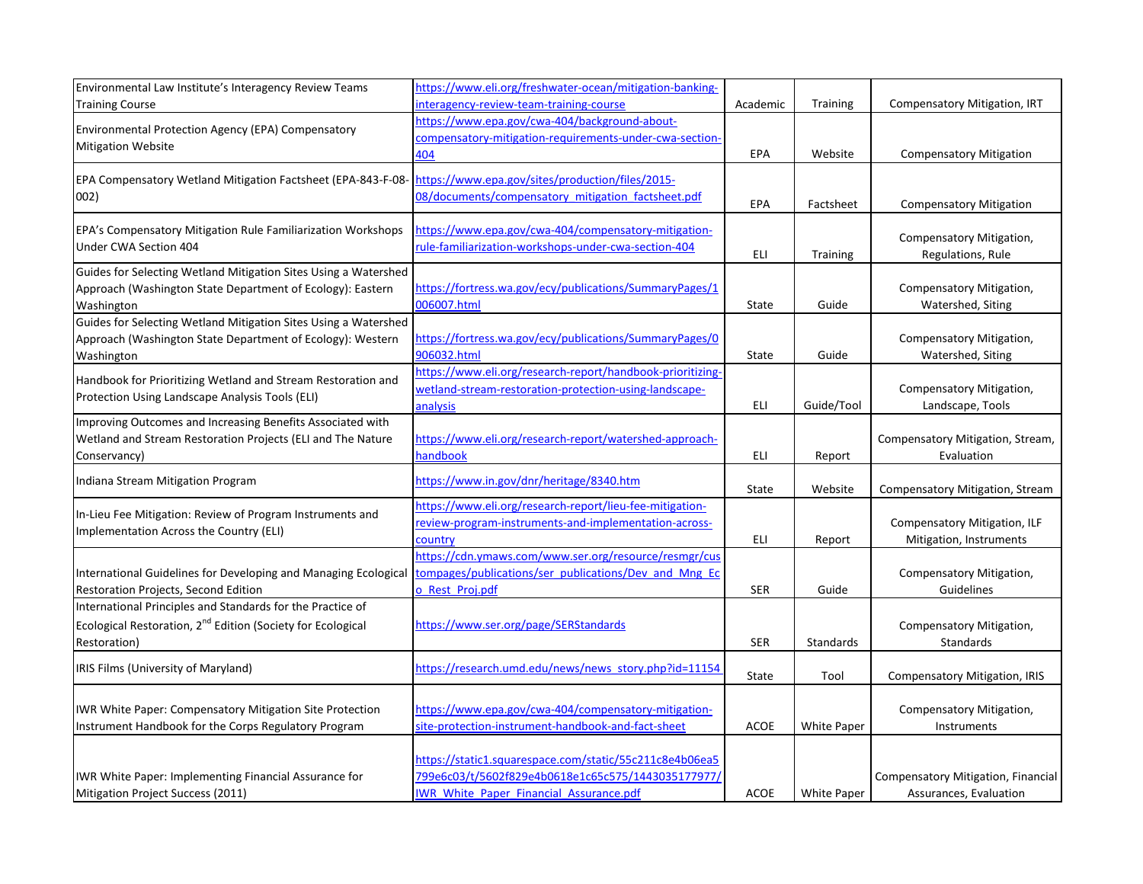| Environmental Law Institute's Interagency Review Teams                  | https://www.eli.org/freshwater-ocean/mitigation-banking-   |            |                    |                                        |
|-------------------------------------------------------------------------|------------------------------------------------------------|------------|--------------------|----------------------------------------|
| <b>Training Course</b>                                                  | interagency-review-team-training-course                    | Academic   | <b>Training</b>    | <b>Compensatory Mitigation, IRT</b>    |
|                                                                         | https://www.epa.gov/cwa-404/background-about-              |            |                    |                                        |
| Environmental Protection Agency (EPA) Compensatory                      | compensatory-mitigation-requirements-under-cwa-section-    |            |                    |                                        |
| <b>Mitigation Website</b>                                               | 404                                                        | EPA        | Website            | <b>Compensatory Mitigation</b>         |
| EPA Compensatory Wetland Mitigation Factsheet (EPA-843-F-08             | https://www.epa.gov/sites/production/files/2015-           |            |                    |                                        |
| 002)                                                                    | 08/documents/compensatory mitigation factsheet.pdf         |            |                    |                                        |
|                                                                         |                                                            | EPA        | Factsheet          | <b>Compensatory Mitigation</b>         |
| EPA's Compensatory Mitigation Rule Familiarization Workshops            | https://www.epa.gov/cwa-404/compensatory-mitigation-       |            |                    |                                        |
| Under CWA Section 404                                                   | rule-familiarization-workshops-under-cwa-section-404       |            |                    | Compensatory Mitigation,               |
|                                                                         |                                                            | ELI        | <b>Training</b>    | Regulations, Rule                      |
| Guides for Selecting Wetland Mitigation Sites Using a Watershed         |                                                            |            |                    |                                        |
| Approach (Washington State Department of Ecology): Eastern              | https://fortress.wa.gov/ecy/publications/SummaryPages/1    |            |                    | Compensatory Mitigation,               |
| Washington                                                              | 006007.html                                                | State      | Guide              | Watershed, Siting                      |
| Guides for Selecting Wetland Mitigation Sites Using a Watershed         |                                                            |            |                    |                                        |
| Approach (Washington State Department of Ecology): Western              | https://fortress.wa.gov/ecy/publications/SummaryPages/0    |            |                    | Compensatory Mitigation,               |
| Washington                                                              | 906032.html                                                | State      | Guide              | Watershed, Siting                      |
| Handbook for Prioritizing Wetland and Stream Restoration and            | https://www.eli.org/research-report/handbook-prioritizing- |            |                    |                                        |
| Protection Using Landscape Analysis Tools (ELI)                         | wetland-stream-restoration-protection-using-landscape-     |            |                    | Compensatory Mitigation,               |
|                                                                         | analysis                                                   | ELI        | Guide/Tool         | Landscape, Tools                       |
| Improving Outcomes and Increasing Benefits Associated with              |                                                            |            |                    |                                        |
| Wetland and Stream Restoration Projects (ELI and The Nature             | https://www.eli.org/research-report/watershed-approach-    |            |                    | Compensatory Mitigation, Stream,       |
| Conservancy)                                                            | handbook                                                   | <b>ELI</b> | Report             | Evaluation                             |
| Indiana Stream Mitigation Program                                       | https://www.in.gov/dnr/heritage/8340.htm                   |            |                    |                                        |
|                                                                         |                                                            | State      | Website            | <b>Compensatory Mitigation, Stream</b> |
| In-Lieu Fee Mitigation: Review of Program Instruments and               | https://www.eli.org/research-report/lieu-fee-mitigation-   |            |                    |                                        |
| Implementation Across the Country (ELI)                                 | review-program-instruments-and-implementation-across-      |            |                    | <b>Compensatory Mitigation, ILF</b>    |
|                                                                         | country                                                    | ELI        | Report             | Mitigation, Instruments                |
|                                                                         | https://cdn.ymaws.com/www.ser.org/resource/resmgr/cus      |            |                    |                                        |
| International Guidelines for Developing and Managing Ecological         | tompages/publications/ser publications/Dev and Mng Ec      |            |                    | Compensatory Mitigation,               |
| Restoration Projects, Second Edition                                    | o Rest Proj.pdf                                            | <b>SER</b> | Guide              | Guidelines                             |
| International Principles and Standards for the Practice of              |                                                            |            |                    |                                        |
| Ecological Restoration, 2 <sup>nd</sup> Edition (Society for Ecological | https://www.ser.org/page/SERStandards                      |            |                    | Compensatory Mitigation,               |
| <b>Restoration</b> )                                                    |                                                            | <b>SER</b> | Standards          | Standards                              |
| IRIS Films (University of Maryland)                                     | https://research.umd.edu/news/news_story.php?id=11154      |            |                    |                                        |
|                                                                         |                                                            | State      | Tool               | <b>Compensatory Mitigation, IRIS</b>   |
|                                                                         |                                                            |            |                    |                                        |
| IWR White Paper: Compensatory Mitigation Site Protection                | https://www.epa.gov/cwa-404/compensatory-mitigation-       |            |                    | Compensatory Mitigation,               |
| Instrument Handbook for the Corps Regulatory Program                    | site-protection-instrument-handbook-and-fact-sheet         | ACOE       | White Paper        | Instruments                            |
|                                                                         |                                                            |            |                    |                                        |
|                                                                         | https://static1.squarespace.com/static/55c211c8e4b06ea5    |            |                    |                                        |
| IWR White Paper: Implementing Financial Assurance for                   | 799e6c03/t/5602f829e4b0618e1c65c575/1443035177977/         |            |                    | Compensatory Mitigation, Financial     |
| Mitigation Project Success (2011)                                       | <b>IWR White Paper Financial Assurance.pdf</b>             | ACOE       | <b>White Paper</b> | Assurances, Evaluation                 |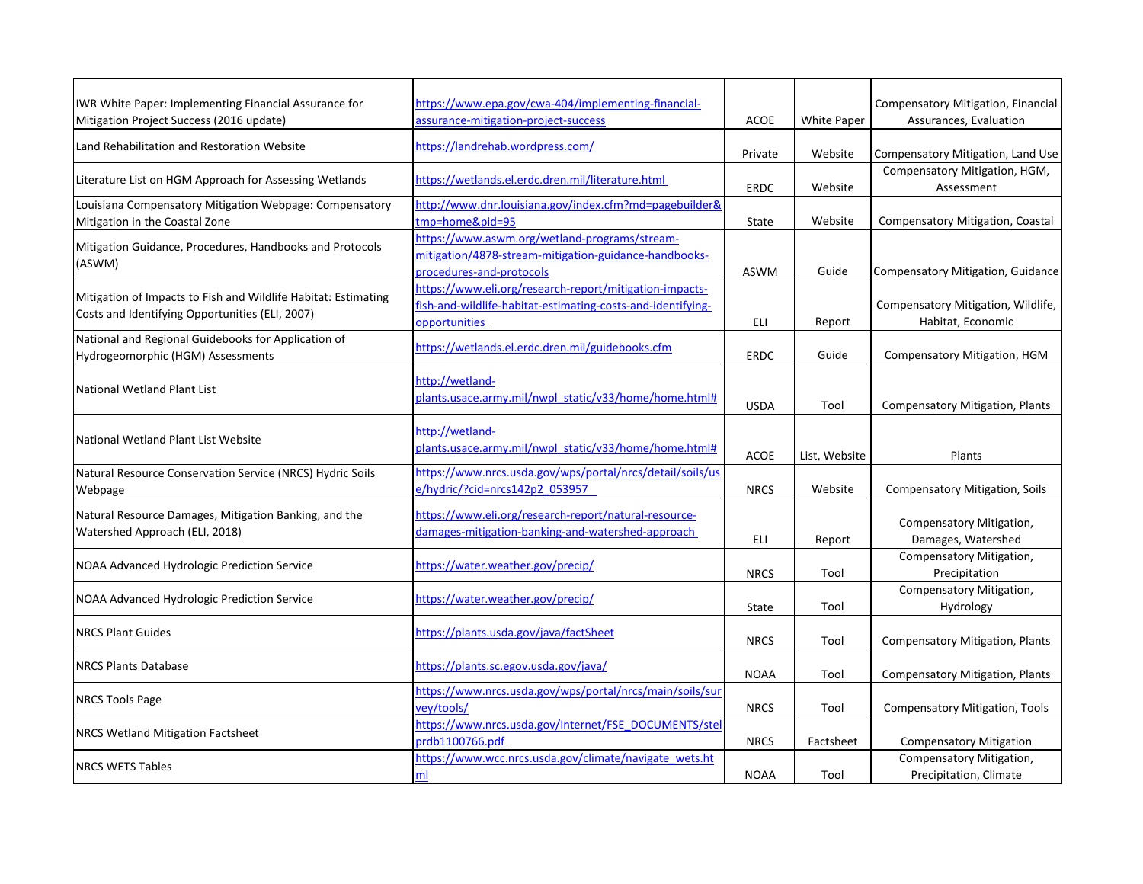| IWR White Paper: Implementing Financial Assurance for                                                             | https://www.epa.gov/cwa-404/implementing-financial-                                                                                     |             |                    | Compensatory Mitigation, Financial                      |
|-------------------------------------------------------------------------------------------------------------------|-----------------------------------------------------------------------------------------------------------------------------------------|-------------|--------------------|---------------------------------------------------------|
| Mitigation Project Success (2016 update)                                                                          | assurance-mitigation-project-success                                                                                                    | <b>ACOE</b> | <b>White Paper</b> | Assurances, Evaluation                                  |
| Land Rehabilitation and Restoration Website                                                                       | https://landrehab.wordpress.com/                                                                                                        | Private     | Website            | Compensatory Mitigation, Land Use                       |
| Literature List on HGM Approach for Assessing Wetlands                                                            | https://wetlands.el.erdc.dren.mil/literature.html                                                                                       | ERDC        | Website            | Compensatory Mitigation, HGM,<br>Assessment             |
| Louisiana Compensatory Mitigation Webpage: Compensatory<br>Mitigation in the Coastal Zone                         | http://www.dnr.louisiana.gov/index.cfm?md=pagebuilder&<br>tmp=home&pid=95                                                               | State       | Website            | <b>Compensatory Mitigation, Coastal</b>                 |
| Mitigation Guidance, Procedures, Handbooks and Protocols<br>(ASWM)                                                | https://www.aswm.org/wetland-programs/stream-<br>mitigation/4878-stream-mitigation-guidance-handbooks-<br>procedures-and-protocols      | <b>ASWM</b> | Guide              | Compensatory Mitigation, Guidance                       |
| Mitigation of Impacts to Fish and Wildlife Habitat: Estimating<br>Costs and Identifying Opportunities (ELI, 2007) | https://www.eli.org/research-report/mitigation-impacts-<br>fish-and-wildlife-habitat-estimating-costs-and-identifying-<br>opportunities | ELI         | Report             | Compensatory Mitigation, Wildlife,<br>Habitat, Economic |
| National and Regional Guidebooks for Application of<br>Hydrogeomorphic (HGM) Assessments                          | https://wetlands.el.erdc.dren.mil/guidebooks.cfm                                                                                        | <b>ERDC</b> | Guide              | Compensatory Mitigation, HGM                            |
| National Wetland Plant List                                                                                       | http://wetland-<br>plants.usace.army.mil/nwpl static/v33/home/home.html#                                                                | <b>USDA</b> | Tool               | <b>Compensatory Mitigation, Plants</b>                  |
| National Wetland Plant List Website                                                                               | http://wetland-<br>plants.usace.army.mil/nwpl static/v33/home/home.html#                                                                | <b>ACOE</b> | List, Website      | Plants                                                  |
| Natural Resource Conservation Service (NRCS) Hydric Soils<br>Webpage                                              | https://www.nrcs.usda.gov/wps/portal/nrcs/detail/soils/us<br>e/hydric/?cid=nrcs142p2_053957                                             | <b>NRCS</b> | Website            | <b>Compensatory Mitigation, Soils</b>                   |
| Natural Resource Damages, Mitigation Banking, and the<br>Watershed Approach (ELI, 2018)                           | https://www.eli.org/research-report/natural-resource-<br>damages-mitigation-banking-and-watershed-approach                              | ELI         | Report             | Compensatory Mitigation,<br>Damages, Watershed          |
| NOAA Advanced Hydrologic Prediction Service                                                                       | https://water.weather.gov/precip/                                                                                                       | <b>NRCS</b> | Tool               | Compensatory Mitigation,<br>Precipitation               |
| NOAA Advanced Hydrologic Prediction Service                                                                       | https://water.weather.gov/precip/                                                                                                       | State       | Tool               | Compensatory Mitigation,<br>Hydrology                   |
| <b>NRCS Plant Guides</b>                                                                                          | https://plants.usda.gov/java/factSheet                                                                                                  | <b>NRCS</b> | Tool               | <b>Compensatory Mitigation, Plants</b>                  |
| <b>NRCS Plants Database</b>                                                                                       | https://plants.sc.egov.usda.gov/java/                                                                                                   | <b>NOAA</b> | Tool               | <b>Compensatory Mitigation, Plants</b>                  |
| <b>NRCS Tools Page</b>                                                                                            | https://www.nrcs.usda.gov/wps/portal/nrcs/main/soils/sur<br>vey/tools/                                                                  | <b>NRCS</b> | Tool               | Compensatory Mitigation, Tools                          |
| <b>NRCS Wetland Mitigation Factsheet</b>                                                                          | https://www.nrcs.usda.gov/Internet/FSE_DOCUMENTS/stel<br>prdb1100766.pdf                                                                | <b>NRCS</b> | Factsheet          | <b>Compensatory Mitigation</b>                          |
| <b>NRCS WETS Tables</b>                                                                                           | https://www.wcc.nrcs.usda.gov/climate/navigate_wets.ht<br>ml                                                                            | <b>NOAA</b> | Tool               | Compensatory Mitigation,<br>Precipitation, Climate      |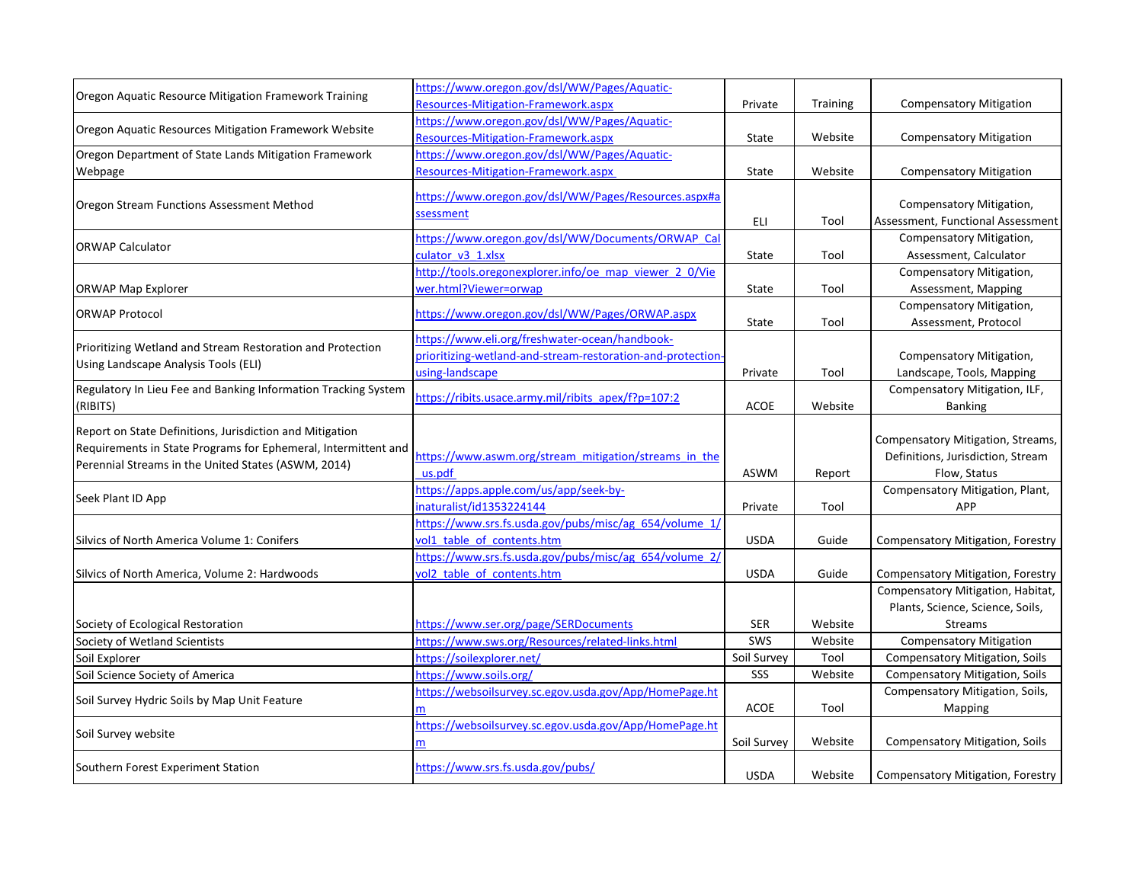| Oregon Aquatic Resource Mitigation Framework Training          | https://www.oregon.gov/dsl/WW/Pages/Aquatic-                |             |                 |                                                                        |
|----------------------------------------------------------------|-------------------------------------------------------------|-------------|-----------------|------------------------------------------------------------------------|
|                                                                | Resources-Mitigation-Framework.aspx                         | Private     | <b>Training</b> | <b>Compensatory Mitigation</b>                                         |
| Oregon Aquatic Resources Mitigation Framework Website          | https://www.oregon.gov/dsl/WW/Pages/Aquatic-                |             |                 |                                                                        |
|                                                                | Resources-Mitigation-Framework.aspx                         | State       | Website         | <b>Compensatory Mitigation</b>                                         |
| Oregon Department of State Lands Mitigation Framework          | https://www.oregon.gov/dsl/WW/Pages/Aquatic-                |             |                 |                                                                        |
| Webpage                                                        | Resources-Mitigation-Framework.aspx                         | State       | Website         | <b>Compensatory Mitigation</b>                                         |
|                                                                | https://www.oregon.gov/dsl/WW/Pages/Resources.aspx#a        |             |                 |                                                                        |
| Oregon Stream Functions Assessment Method                      | ssessment                                                   |             |                 | Compensatory Mitigation,                                               |
|                                                                |                                                             | ELI         | Tool            | Assessment, Functional Assessment                                      |
| <b>ORWAP Calculator</b>                                        | https://www.oregon.gov/dsl/WW/Documents/ORWAP Cal           |             |                 | Compensatory Mitigation,                                               |
|                                                                | culator v3 1.xlsx                                           | State       | Tool            | Assessment, Calculator                                                 |
|                                                                | http://tools.oregonexplorer.info/oe map viewer 2 0/Vie      |             |                 | Compensatory Mitigation,                                               |
| ORWAP Map Explorer                                             | wer.html?Viewer=orwap                                       | State       | Tool            | Assessment, Mapping                                                    |
| <b>ORWAP Protocol</b>                                          | https://www.oregon.gov/dsl/WW/Pages/ORWAP.aspx              |             |                 | Compensatory Mitigation,                                               |
|                                                                |                                                             | State       | Tool            | Assessment, Protocol                                                   |
| Prioritizing Wetland and Stream Restoration and Protection     | https://www.eli.org/freshwater-ocean/handbook-              |             |                 |                                                                        |
| Using Landscape Analysis Tools (ELI)                           | prioritizing-wetland-and-stream-restoration-and-protection- |             |                 | Compensatory Mitigation,                                               |
|                                                                | using-landscape                                             | Private     | Tool            | Landscape, Tools, Mapping                                              |
| Regulatory In Lieu Fee and Banking Information Tracking System | https://ribits.usace.army.mil/ribits apex/f?p=107:2         |             |                 | Compensatory Mitigation, ILF,                                          |
| (RIBITS)                                                       |                                                             | <b>ACOE</b> | Website         | <b>Banking</b>                                                         |
| Report on State Definitions, Jurisdiction and Mitigation       |                                                             |             |                 |                                                                        |
| Requirements in State Programs for Ephemeral, Intermittent and | https://www.aswm.org/stream mitigation/streams in the       |             |                 | Compensatory Mitigation, Streams,<br>Definitions, Jurisdiction, Stream |
| Perennial Streams in the United States (ASWM, 2014)            | us.pdf                                                      |             |                 |                                                                        |
|                                                                | https://apps.apple.com/us/app/seek-by-                      | <b>ASWM</b> | Report          | Flow, Status<br>Compensatory Mitigation, Plant,                        |
| Seek Plant ID App                                              | inaturalist/id1353224144                                    | Private     | Tool            | <b>APP</b>                                                             |
|                                                                | https://www.srs.fs.usda.gov/pubs/misc/ag 654/volume 1/      |             |                 |                                                                        |
| Silvics of North America Volume 1: Conifers                    | vol1 table of contents.htm                                  | <b>USDA</b> | Guide           |                                                                        |
|                                                                | https://www.srs.fs.usda.gov/pubs/misc/ag 654/volume 2/      |             |                 | Compensatory Mitigation, Forestry                                      |
| Silvics of North America, Volume 2: Hardwoods                  | vol2 table of contents.htm                                  | <b>USDA</b> | Guide           | <b>Compensatory Mitigation, Forestry</b>                               |
|                                                                |                                                             |             |                 | Compensatory Mitigation, Habitat,                                      |
|                                                                |                                                             |             |                 | Plants, Science, Science, Soils,                                       |
| Society of Ecological Restoration                              | https://www.ser.org/page/SERDocuments                       | <b>SER</b>  | Website         | <b>Streams</b>                                                         |
| Society of Wetland Scientists                                  | https://www.sws.org/Resources/related-links.html            | SWS         | Website         | <b>Compensatory Mitigation</b>                                         |
| Soil Explorer                                                  | https://soilexplorer.net/                                   | Soil Survey | Tool            | <b>Compensatory Mitigation, Soils</b>                                  |
| Soil Science Society of America                                | https://www.soils.org/                                      | SSS         | Website         | <b>Compensatory Mitigation, Soils</b>                                  |
| Soil Survey Hydric Soils by Map Unit Feature                   | https://websoilsurvey.sc.egov.usda.gov/App/HomePage.ht      |             |                 | Compensatory Mitigation, Soils,                                        |
|                                                                |                                                             | <b>ACOE</b> | Tool            | Mapping                                                                |
|                                                                | https://websoilsurvey.sc.egov.usda.gov/App/HomePage.ht      |             |                 |                                                                        |
| Soil Survey website                                            | m                                                           | Soil Survey | Website         | <b>Compensatory Mitigation, Soils</b>                                  |
|                                                                |                                                             |             |                 |                                                                        |
| Southern Forest Experiment Station                             | https://www.srs.fs.usda.gov/pubs/                           | <b>USDA</b> | Website         | <b>Compensatory Mitigation, Forestry</b>                               |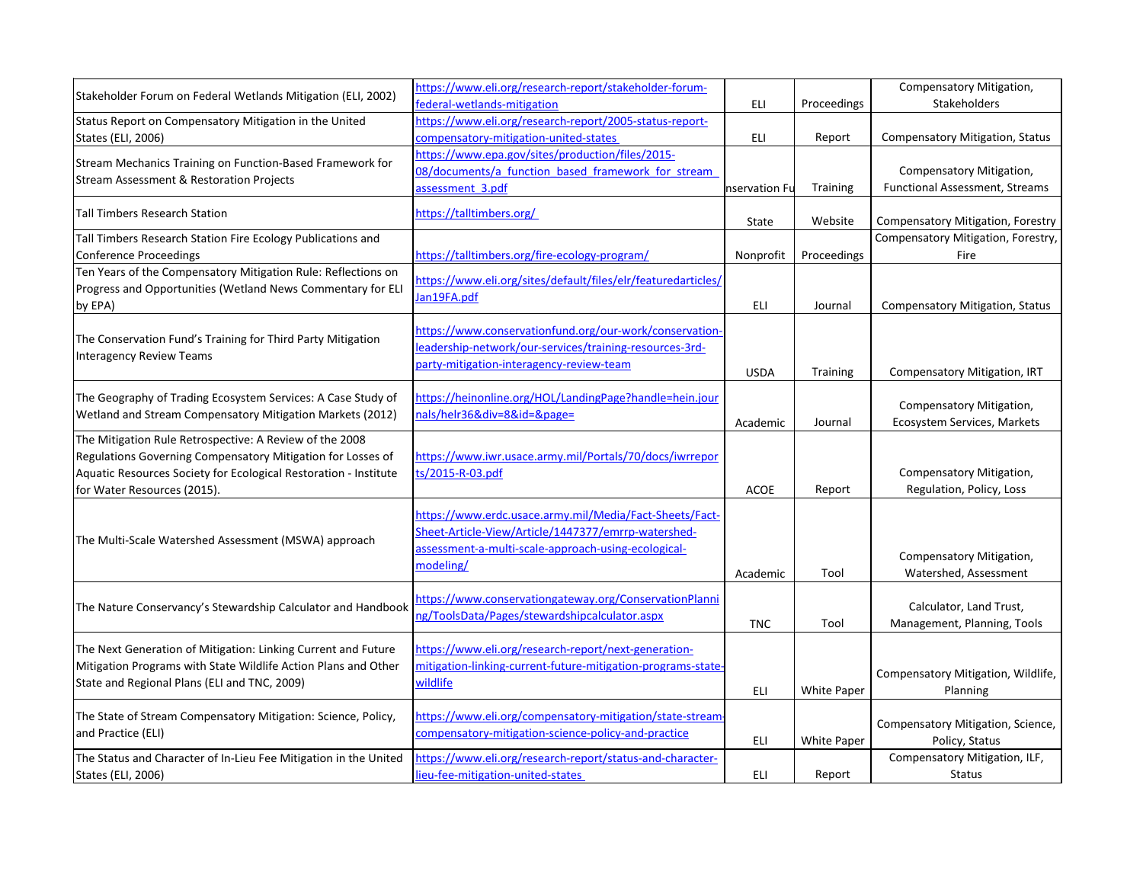| Stakeholder Forum on Federal Wetlands Mitigation (ELI, 2002)     | https://www.eli.org/research-report/stakeholder-forum-        |               |                 | Compensatory Mitigation,                             |
|------------------------------------------------------------------|---------------------------------------------------------------|---------------|-----------------|------------------------------------------------------|
|                                                                  | federal-wetlands-mitigation                                   | ELI           | Proceedings     | Stakeholders                                         |
| Status Report on Compensatory Mitigation in the United           | https://www.eli.org/research-report/2005-status-report-       |               |                 |                                                      |
| States (ELI, 2006)                                               | compensatory-mitigation-united-states                         | ELI           | Report          | <b>Compensatory Mitigation, Status</b>               |
| Stream Mechanics Training on Function-Based Framework for        | https://www.epa.gov/sites/production/files/2015-              |               |                 |                                                      |
|                                                                  | 08/documents/a function based framework for stream            |               |                 | Compensatory Mitigation,                             |
| <b>Stream Assessment &amp; Restoration Projects</b>              | assessment 3.pdf                                              | nservation Fu | <b>Training</b> | <b>Functional Assessment, Streams</b>                |
| <b>Tall Timbers Research Station</b>                             | https://talltimbers.org/                                      | State         | Website         | <b>Compensatory Mitigation, Forestry</b>             |
| Tall Timbers Research Station Fire Ecology Publications and      |                                                               |               |                 | Compensatory Mitigation, Forestry,                   |
| <b>Conference Proceedings</b>                                    | https://talltimbers.org/fire-ecology-program/                 | Nonprofit     | Proceedings     | Fire                                                 |
| Ten Years of the Compensatory Mitigation Rule: Reflections on    | https://www.eli.org/sites/default/files/elr/featuredarticles/ |               |                 |                                                      |
| Progress and Opportunities (Wetland News Commentary for ELI      | Jan19FA.pdf                                                   |               |                 |                                                      |
| by EPA)                                                          |                                                               | <b>ELI</b>    | Journal         | <b>Compensatory Mitigation, Status</b>               |
|                                                                  | https://www.conservationfund.org/our-work/conservation-       |               |                 |                                                      |
| The Conservation Fund's Training for Third Party Mitigation      | leadership-network/our-services/training-resources-3rd-       |               |                 |                                                      |
| <b>Interagency Review Teams</b>                                  | party-mitigation-interagency-review-team                      |               |                 |                                                      |
|                                                                  |                                                               | <b>USDA</b>   | <b>Training</b> | Compensatory Mitigation, IRT                         |
| The Geography of Trading Ecosystem Services: A Case Study of     | https://heinonline.org/HOL/LandingPage?handle=hein.jour       |               |                 |                                                      |
| Wetland and Stream Compensatory Mitigation Markets (2012)        | nals/helr36÷=8&id=&page=                                      |               |                 | Compensatory Mitigation,                             |
|                                                                  |                                                               | Academic      | Journal         | Ecosystem Services, Markets                          |
| The Mitigation Rule Retrospective: A Review of the 2008          |                                                               |               |                 |                                                      |
| Regulations Governing Compensatory Mitigation for Losses of      | https://www.iwr.usace.army.mil/Portals/70/docs/iwrrepor       |               |                 |                                                      |
| Aquatic Resources Society for Ecological Restoration - Institute | ts/2015-R-03.pdf                                              | <b>ACOE</b>   |                 | Compensatory Mitigation,<br>Regulation, Policy, Loss |
| for Water Resources (2015).                                      |                                                               |               | Report          |                                                      |
|                                                                  | https://www.erdc.usace.army.mil/Media/Fact-Sheets/Fact-       |               |                 |                                                      |
| The Multi-Scale Watershed Assessment (MSWA) approach             | Sheet-Article-View/Article/1447377/emrrp-watershed-           |               |                 |                                                      |
|                                                                  | assessment-a-multi-scale-approach-using-ecological-           |               |                 | Compensatory Mitigation,                             |
|                                                                  | modeling/                                                     | Academic      | Tool            | Watershed, Assessment                                |
|                                                                  |                                                               |               |                 |                                                      |
| The Nature Conservancy's Stewardship Calculator and Handbook     | https://www.conservationgateway.org/ConservationPlanni        |               |                 | Calculator, Land Trust,                              |
|                                                                  | ng/ToolsData/Pages/stewardshipcalculator.aspx                 | <b>TNC</b>    | Tool            | Management, Planning, Tools                          |
|                                                                  |                                                               |               |                 |                                                      |
| The Next Generation of Mitigation: Linking Current and Future    | https://www.eli.org/research-report/next-generation-          |               |                 |                                                      |
| Mitigation Programs with State Wildlife Action Plans and Other   | mitigation-linking-current-future-mitigation-programs-state-  |               |                 | Compensatory Mitigation, Wildlife,                   |
| State and Regional Plans (ELI and TNC, 2009)                     | wildlife                                                      | ELI           | White Paper     | Planning                                             |
| The State of Stream Compensatory Mitigation: Science, Policy,    | https://www.eli.org/compensatory-mitigation/state-stream-     |               |                 |                                                      |
| and Practice (ELI)                                               | compensatory-mitigation-science-policy-and-practice           |               |                 | Compensatory Mitigation, Science,                    |
|                                                                  |                                                               | ELI           | White Paper     | Policy, Status                                       |
| The Status and Character of In-Lieu Fee Mitigation in the United | https://www.eli.org/research-report/status-and-character-     |               |                 | Compensatory Mitigation, ILF,                        |
| States (ELI, 2006)                                               | lieu-fee-mitigation-united-states                             | ELI           | Report          | <b>Status</b>                                        |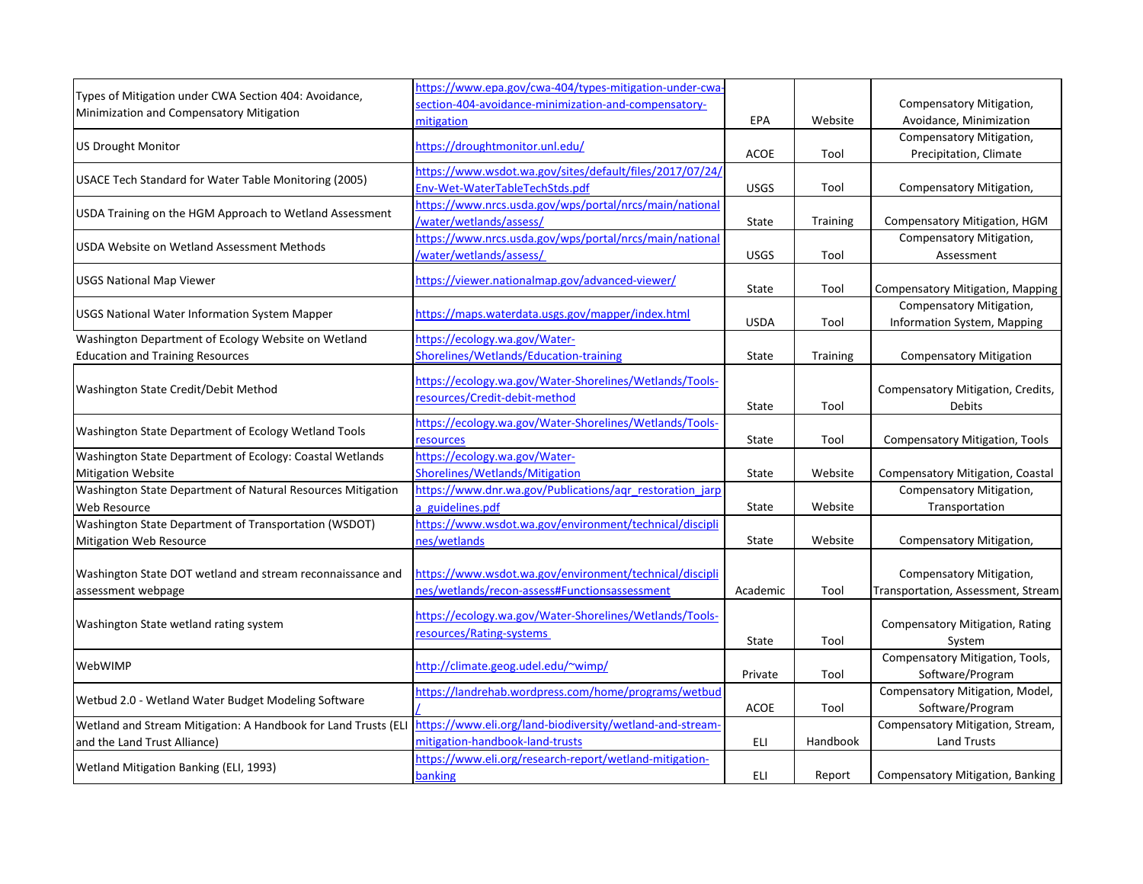|                                                                | https://www.epa.gov/cwa-404/types-mitigation-under-cwa-   |             |                 |                                         |
|----------------------------------------------------------------|-----------------------------------------------------------|-------------|-----------------|-----------------------------------------|
| Types of Mitigation under CWA Section 404: Avoidance,          | section-404-avoidance-minimization-and-compensatory-      |             |                 | Compensatory Mitigation,                |
| Minimization and Compensatory Mitigation                       | mitigation                                                | EPA         | Website         | Avoidance, Minimization                 |
|                                                                |                                                           |             |                 | Compensatory Mitigation,                |
| <b>US Drought Monitor</b>                                      | https://droughtmonitor.unl.edu/                           | <b>ACOE</b> | Tool            | Precipitation, Climate                  |
|                                                                | https://www.wsdot.wa.gov/sites/default/files/2017/07/24/  |             |                 |                                         |
| USACE Tech Standard for Water Table Monitoring (2005)          | Env-Wet-WaterTableTechStds.pdf                            | <b>USGS</b> | Tool            | Compensatory Mitigation,                |
|                                                                | https://www.nrcs.usda.gov/wps/portal/nrcs/main/national   |             |                 |                                         |
| USDA Training on the HGM Approach to Wetland Assessment        | /water/wetlands/assess/                                   | State       | <b>Training</b> | Compensatory Mitigation, HGM            |
|                                                                | https://www.nrcs.usda.gov/wps/portal/nrcs/main/national   |             |                 | Compensatory Mitigation,                |
| USDA Website on Wetland Assessment Methods                     | /water/wetlands/assess/                                   | <b>USGS</b> | Tool            | Assessment                              |
|                                                                |                                                           |             |                 |                                         |
| USGS National Map Viewer                                       | https://viewer.nationalmap.gov/advanced-viewer/           | State       | Tool            | <b>Compensatory Mitigation, Mapping</b> |
|                                                                |                                                           |             |                 | Compensatory Mitigation,                |
| <b>USGS National Water Information System Mapper</b>           | https://maps.waterdata.usgs.gov/mapper/index.html         | <b>USDA</b> | Tool            | Information System, Mapping             |
| Washington Department of Ecology Website on Wetland            | https://ecology.wa.gov/Water-                             |             |                 |                                         |
| <b>Education and Training Resources</b>                        | Shorelines/Wetlands/Education-training                    | State       | <b>Training</b> | <b>Compensatory Mitigation</b>          |
|                                                                |                                                           |             |                 |                                         |
|                                                                | https://ecology.wa.gov/Water-Shorelines/Wetlands/Tools-   |             |                 |                                         |
| Washington State Credit/Debit Method                           | resources/Credit-debit-method                             |             |                 | Compensatory Mitigation, Credits,       |
|                                                                |                                                           | State       | Tool            | Debits                                  |
| Washington State Department of Ecology Wetland Tools           | https://ecology.wa.gov/Water-Shorelines/Wetlands/Tools-   |             |                 |                                         |
|                                                                | resources                                                 | State       | Tool            | <b>Compensatory Mitigation, Tools</b>   |
| Washington State Department of Ecology: Coastal Wetlands       | https://ecology.wa.gov/Water-                             |             |                 |                                         |
| <b>Mitigation Website</b>                                      | Shorelines/Wetlands/Mitigation                            | State       | Website         | Compensatory Mitigation, Coastal        |
| Washington State Department of Natural Resources Mitigation    | https://www.dnr.wa.gov/Publications/agr restoration jarp  |             |                 | Compensatory Mitigation,                |
| Web Resource                                                   | a guidelines.pdf                                          | State       | Website         | Transportation                          |
| Washington State Department of Transportation (WSDOT)          | https://www.wsdot.wa.gov/environment/technical/discipli   |             |                 |                                         |
| Mitigation Web Resource                                        | nes/wetlands                                              | State       | Website         | Compensatory Mitigation,                |
|                                                                |                                                           |             |                 |                                         |
| Washington State DOT wetland and stream reconnaissance and     | https://www.wsdot.wa.gov/environment/technical/discipli   |             |                 | Compensatory Mitigation,                |
| assessment webpage                                             | nes/wetlands/recon-assess#Functionsassessment             | Academic    | Tool            | Transportation, Assessment, Stream      |
|                                                                | https://ecology.wa.gov/Water-Shorelines/Wetlands/Tools-   |             |                 |                                         |
| Washington State wetland rating system                         | resources/Rating-systems                                  |             |                 | <b>Compensatory Mitigation, Rating</b>  |
|                                                                |                                                           | State       | Tool            | System                                  |
| WebWIMP                                                        | http://climate.geog.udel.edu/~wimp/                       |             |                 | Compensatory Mitigation, Tools,         |
|                                                                |                                                           | Private     | Tool            | Software/Program                        |
|                                                                | https://landrehab.wordpress.com/home/programs/wetbud      |             |                 | Compensatory Mitigation, Model,         |
| Wetbud 2.0 - Wetland Water Budget Modeling Software            |                                                           | <b>ACOE</b> | Tool            | Software/Program                        |
| Wetland and Stream Mitigation: A Handbook for Land Trusts (ELI | https://www.eli.org/land-biodiversity/wetland-and-stream- |             |                 | Compensatory Mitigation, Stream,        |
| and the Land Trust Alliance)                                   | mitigation-handbook-land-trusts                           | ELI         | Handbook        | <b>Land Trusts</b>                      |
|                                                                | https://www.eli.org/research-report/wetland-mitigation-   |             |                 |                                         |
| Wetland Mitigation Banking (ELI, 1993)                         | banking                                                   | <b>ELI</b>  | Report          | Compensatory Mitigation, Banking        |